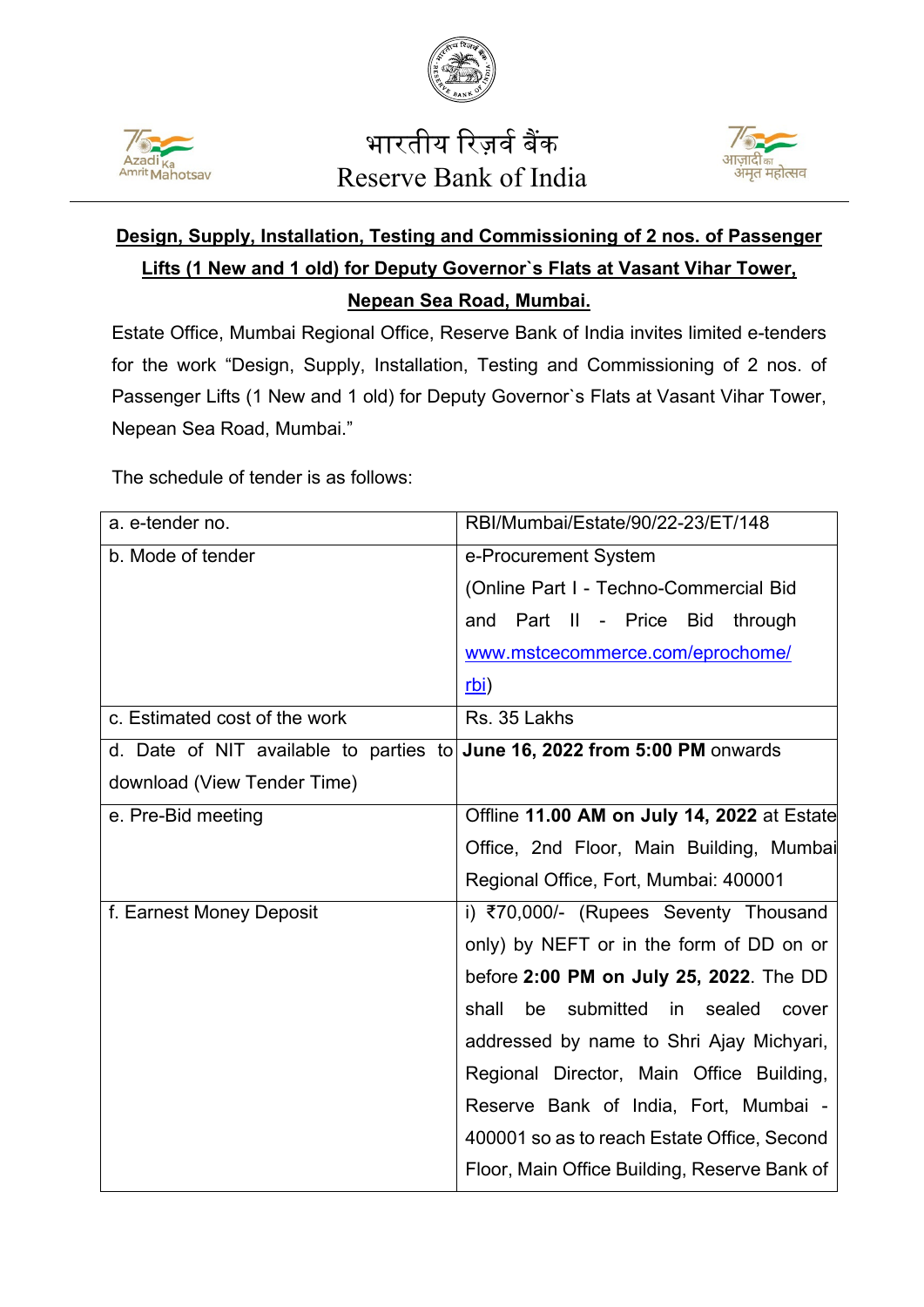



## भारतीय रिज़र्व बैंक Reserve Bank of India



## **Design, Supply, Installation, Testing and Commissioning of 2 nos. of Passenger Lifts (1 New and 1 old) for Deputy Governor`s Flats at Vasant Vihar Tower, Nepean Sea Road, Mumbai.**

Estate Office, Mumbai Regional Office, Reserve Bank of India invites limited e-tenders for the work "Design, Supply, Installation, Testing and Commissioning of 2 nos. of Passenger Lifts (1 New and 1 old) for Deputy Governor`s Flats at Vasant Vihar Tower, Nepean Sea Road, Mumbai."

The schedule of tender is as follows:

| a. e-tender no.                                                           | RBI/Mumbai/Estate/90/22-23/ET/148              |
|---------------------------------------------------------------------------|------------------------------------------------|
| b. Mode of tender                                                         | e-Procurement System                           |
|                                                                           | (Online Part I - Techno-Commercial Bid         |
|                                                                           | and Part II - Price Bid<br>through             |
|                                                                           | www.mstcecommerce.com/eprochome/               |
|                                                                           | rbi)                                           |
| c. Estimated cost of the work                                             | Rs. 35 Lakhs                                   |
| d. Date of NIT available to parties to June 16, 2022 from 5:00 PM onwards |                                                |
| download (View Tender Time)                                               |                                                |
| e. Pre-Bid meeting                                                        | Offline 11.00 AM on July 14, 2022 at Estate    |
|                                                                           | Office, 2nd Floor, Main Building, Mumbai       |
|                                                                           | Regional Office, Fort, Mumbai: 400001          |
| f. Earnest Money Deposit                                                  | i) ₹70,000/- (Rupees Seventy Thousand          |
|                                                                           | only) by NEFT or in the form of DD on or       |
|                                                                           | before 2:00 PM on July 25, 2022. The DD        |
|                                                                           | be submitted<br>shall<br>in<br>sealed<br>cover |
|                                                                           | addressed by name to Shri Ajay Michyari,       |
|                                                                           | Regional Director, Main Office Building,       |
|                                                                           | Reserve Bank of India, Fort, Mumbai -          |
|                                                                           | 400001 so as to reach Estate Office, Second    |
|                                                                           | Floor, Main Office Building, Reserve Bank of   |